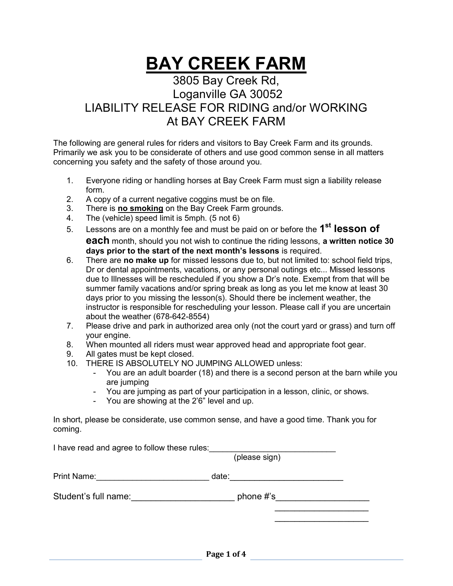## BAY CREEK FARM

## 3805 Bay Creek Rd, Loganville GA 30052 LIABILITY RELEASE FOR RIDING and/or WORKING At BAY CREEK FARM

The following are general rules for riders and visitors to Bay Creek Farm and its grounds. Primarily we ask you to be considerate of others and use good common sense in all matters concerning you safety and the safety of those around you.

- 1. Everyone riding or handling horses at Bay Creek Farm must sign a liability release form.
- 2. A copy of a current negative coggins must be on file.
- 3. There is **no smoking** on the Bay Creek Farm grounds.
- 4. The (vehicle) speed limit is 5mph. (5 not 6)
- 5. Lessons are on a monthly fee and must be paid on or before the  $1^\text{st}$  lesson of each month, should you not wish to continue the riding lessons, a written notice 30 days prior to the start of the next month's lessons is required.
- 6. There are no make up for missed lessons due to, but not limited to: school field trips, Dr or dental appointments, vacations, or any personal outings etc... Missed lessons due to Illnesses will be rescheduled if you show a Dr's note. Exempt from that will be summer family vacations and/or spring break as long as you let me know at least 30 days prior to you missing the lesson(s). Should there be inclement weather, the instructor is responsible for rescheduling your lesson. Please call if you are uncertain about the weather (678-642-8554)
- 7. Please drive and park in authorized area only (not the court yard or grass) and turn off your engine.
- 8. When mounted all riders must wear approved head and appropriate foot gear.
- 9. All gates must be kept closed.
- 10. THERE IS ABSOLUTELY NO JUMPING ALLOWED unless:
	- You are an adult boarder (18) and there is a second person at the barn while you are jumping
	- You are jumping as part of your participation in a lesson, clinic, or shows.
	- You are showing at the 2'6" level and up.

In short, please be considerate, use common sense, and have a good time. Thank you for coming.

 $\overline{\phantom{a}}$  , which is a set of the contract of the contract of the contract of the contract of the contract of the contract of the contract of the contract of the contract of the contract of the contract of the contract  $\overline{\phantom{a}}$  , and the contract of the contract of the contract of the contract of the contract of the contract of the contract of the contract of the contract of the contract of the contract of the contract of the contrac

I have read and agree to follow these rules: \_\_\_\_\_\_\_\_\_\_\_\_\_\_\_\_\_\_\_\_\_\_\_\_\_\_\_\_\_\_\_\_\_\_\_

(please sign)

| <b>Print Name:</b> |  |
|--------------------|--|
|--------------------|--|

Student's full name: \_\_\_\_\_\_\_\_\_\_\_\_\_\_\_\_\_\_\_\_\_\_\_\_\_\_\_ phone #'s\_\_\_\_\_\_\_\_\_\_\_\_\_\_\_\_\_\_\_\_\_\_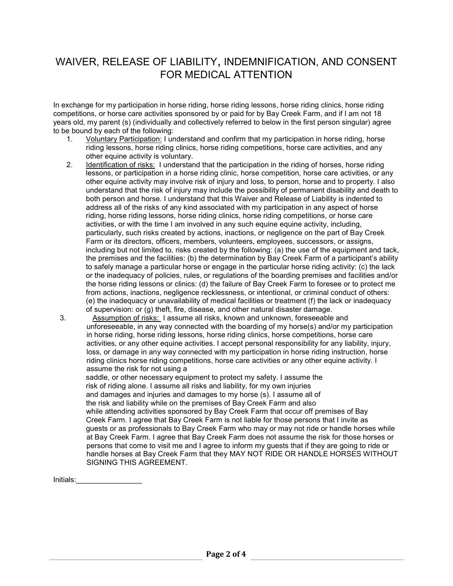## WAIVER, RELEASE OF LIABILITY, INDEMNIFICATION, AND CONSENT FOR MEDICAL ATTENTION

In exchange for my participation in horse riding, horse riding lessons, horse riding clinics, horse riding competitions, or horse care activities sponsored by or paid for by Bay Creek Farm, and if I am not 18 years old, my parent (s) (individually and collectively referred to below in the first person singular) agree to be bound by each of the following:

- 1. Voluntary Participation: I understand and confirm that my participation in horse riding, horse riding lessons, horse riding clinics, horse riding competitions, horse care activities, and any other equine activity is voluntary.
- 2. Identification of risks: I understand that the participation in the riding of horses, horse riding lessons, or participation in a horse riding clinic, horse competition, horse care activities, or any other equine activity may involve risk of injury and loss, to person, horse and to property. I also understand that the risk of injury may include the possibility of permanent disability and death to both person and horse. I understand that this Waiver and Release of Liability is indented to address all of the risks of any kind associated with my participation in any aspect of horse riding, horse riding lessons, horse riding clinics, horse riding competitions, or horse care activities, or with the time I am involved in any such equine equine activity, including, particularly, such risks created by actions, inactions, or negligence on the part of Bay Creek Farm or its directors, officers, members, volunteers, employees, successors, or assigns, including but not limited to, risks created by the following: (a) the use of the equipment and tack, the premises and the facilities: (b) the determination by Bay Creek Farm of a participant's ability to safely manage a particular horse or engage in the particular horse riding activity: (c) the lack or the inadequacy of policies, rules, or regulations of the boarding premises and facilities and/or the horse riding lessons or clinics: (d) the failure of Bay Creek Farm to foresee or to protect me from actions, inactions, negligence recklessness, or intentional, or criminal conduct of others: (e) the inadequacy or unavailability of medical facilities or treatment (f) the lack or inadequacy of supervision: or (g) theft, fire, disease, and other natural disaster damage.

3. Assumption of risks: I assume all risks, known and unknown, foreseeable and unforeseeable, in any way connected with the boarding of my horse(s) and/or my participation in horse riding, horse riding lessons, horse riding clinics, horse competitions, horse care activities, or any other equine activities. I accept personal responsibility for any liability, injury, loss, or damage in any way connected with my participation in horse riding instruction, horse riding clinics horse riding competitions, horse care activities or any other equine activity. I assume the risk for not using a

 saddle, or other necessary equipment to protect my safety. I assume the risk of riding alone. I assume all risks and liability, for my own injuries and damages and injuries and damages to my horse (s). I assume all of the risk and liability while on the premises of Bay Creek Farm and also while attending activities sponsored by Bay Creek Farm that occur off premises of Bay Creek Farm. I agree that Bay Creek Farm is not liable for those persons that I invite as guests or as professionals to Bay Creek Farm who may or may not ride or handle horses while at Bay Creek Farm. I agree that Bay Creek Farm does not assume the risk for those horses or persons that come to visit me and I agree to inform my guests that if they are going to ride or handle horses at Bay Creek Farm that they MAY NOT RIDE OR HANDLE HORSES WITHOUT SIGNING THIS AGREEMENT.

Initials:\_\_\_\_\_\_\_\_\_\_\_\_\_\_\_\_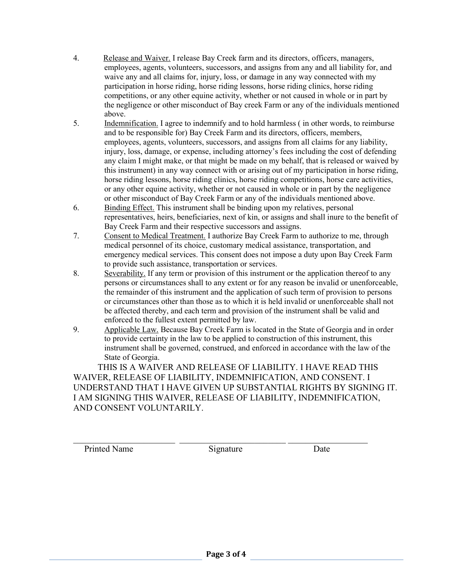- 4. Release and Waiver. I release Bay Creek farm and its directors, officers, managers, employees, agents, volunteers, successors, and assigns from any and all liability for, and waive any and all claims for, injury, loss, or damage in any way connected with my participation in horse riding, horse riding lessons, horse riding clinics, horse riding competitions, or any other equine activity, whether or not caused in whole or in part by the negligence or other misconduct of Bay creek Farm or any of the individuals mentioned above.
- 5. Indemnification. I agree to indemnify and to hold harmless ( in other words, to reimburse and to be responsible for) Bay Creek Farm and its directors, officers, members, employees, agents, volunteers, successors, and assigns from all claims for any liability, injury, loss, damage, or expense, including attorney's fees including the cost of defending any claim I might make, or that might be made on my behalf, that is released or waived by this instrument) in any way connect with or arising out of my participation in horse riding, horse riding lessons, horse riding clinics, horse riding competitions, horse care activities, or any other equine activity, whether or not caused in whole or in part by the negligence or other misconduct of Bay Creek Farm or any of the individuals mentioned above.
- 6. Binding Effect. This instrument shall be binding upon my relatives, personal representatives, heirs, beneficiaries, next of kin, or assigns and shall inure to the benefit of Bay Creek Farm and their respective successors and assigns.
- 7. Consent to Medical Treatment. I authorize Bay Creek Farm to authorize to me, through medical personnel of its choice, customary medical assistance, transportation, and emergency medical services. This consent does not impose a duty upon Bay Creek Farm to provide such assistance, transportation or services.
- 8. Severability. If any term or provision of this instrument or the application thereof to any persons or circumstances shall to any extent or for any reason be invalid or unenforceable, the remainder of this instrument and the application of such term of provision to persons or circumstances other than those as to which it is held invalid or unenforceable shall not be affected thereby, and each term and provision of the instrument shall be valid and enforced to the fullest extent permitted by law.
- 9. Applicable Law. Because Bay Creek Farm is located in the State of Georgia and in order to provide certainty in the law to be applied to construction of this instrument, this instrument shall be governed, construed, and enforced in accordance with the law of the State of Georgia.

 THIS IS A WAIVER AND RELEASE OF LIABILITY. I HAVE READ THIS WAIVER, RELEASE OF LIABILITY, INDEMNIFICATION, AND CONSENT. I UNDERSTAND THAT I HAVE GIVEN UP SUBSTANTIAL RIGHTS BY SIGNING IT. I AM SIGNING THIS WAIVER, RELEASE OF LIABILITY, INDEMNIFICATION, AND CONSENT VOLUNTARILY.

Printed Name Signature Date